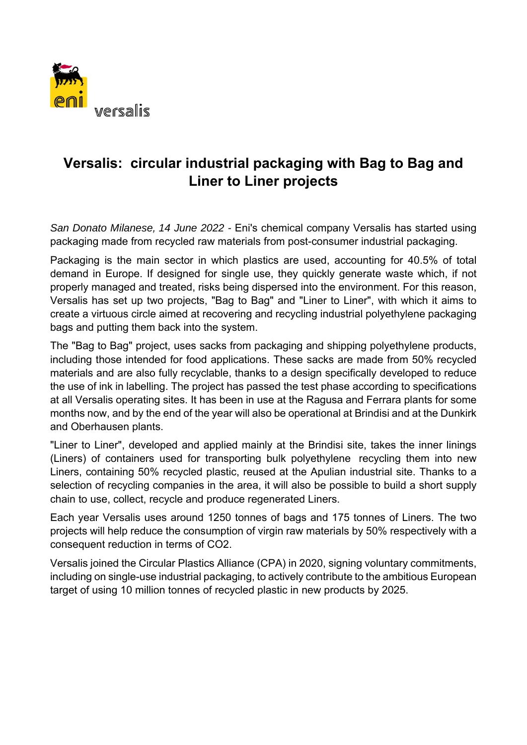

## **Versalis: circular industrial packaging with Bag to Bag and Liner to Liner projects**

*San Donato Milanese, 14 June 2022 -* Eni's chemical company Versalis has started using packaging made from recycled raw materials from post-consumer industrial packaging.

Packaging is the main sector in which plastics are used, accounting for 40.5% of total demand in Europe. If designed for single use, they quickly generate waste which, if not properly managed and treated, risks being dispersed into the environment. For this reason, Versalis has set up two projects, "Bag to Bag" and "Liner to Liner", with which it aims to create a virtuous circle aimed at recovering and recycling industrial polyethylene packaging bags and putting them back into the system.

The "Bag to Bag" project, uses sacks from packaging and shipping polyethylene products, including those intended for food applications. These sacks are made from 50% recycled materials and are also fully recyclable, thanks to a design specifically developed to reduce the use of ink in labelling. The project has passed the test phase according to specifications at all Versalis operating sites. It has been in use at the Ragusa and Ferrara plants for some months now, and by the end of the year will also be operational at Brindisi and at the Dunkirk and Oberhausen plants.

"Liner to Liner", developed and applied mainly at the Brindisi site, takes the inner linings (Liners) of containers used for transporting bulk polyethylene recycling them into new Liners, containing 50% recycled plastic, reused at the Apulian industrial site. Thanks to a selection of recycling companies in the area, it will also be possible to build a short supply chain to use, collect, recycle and produce regenerated Liners.

Each year Versalis uses around 1250 tonnes of bags and 175 tonnes of Liners. The two projects will help reduce the consumption of virgin raw materials by 50% respectively with a consequent reduction in terms of CO2.

Versalis joined the Circular Plastics Alliance (CPA) in 2020, signing voluntary commitments, including on single-use industrial packaging, to actively contribute to the ambitious European target of using 10 million tonnes of recycled plastic in new products by 2025.